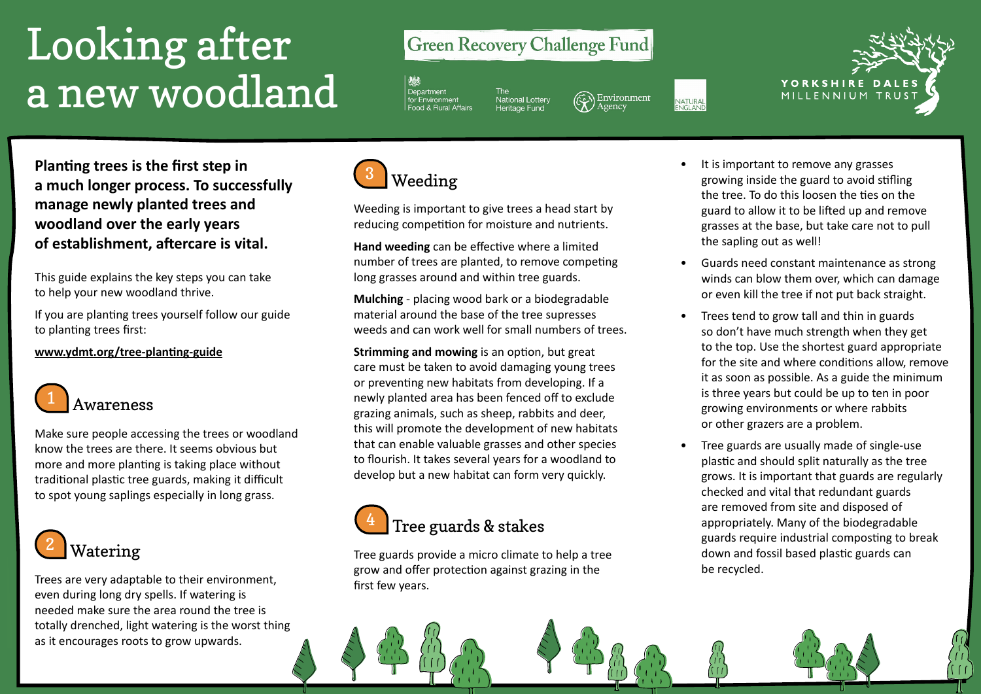# Looking after a new woodland

### **Green Recovery Challenge Fund**

Department

National Lotter<br>Heritage Fund

Environment NATURAL<br>ENGLAND



**Planting trees is the first step in a much longer process. To successfully manage newly planted trees and woodland over the early years of establishment, aftercare is vital.** 

This guide explains the key steps you can take to help your new woodland thrive.

If you are planting trees yourself follow our guide to planting trees first:

**[www.ydmt.org/tree-planting-guide](http://www.ydmt.org/tree-planting-guide)**



Make sure people accessing the trees or woodland know the trees are there. It seems obvious but more and more planting is taking place without traditional plastic tree guards, making it difficult to spot young saplings especially in long grass.



Trees are very adaptable to their environment, even during long dry spells. If watering is needed make sure the area round the tree is totally drenched, light watering is the worst thing as it encourages roots to grow upwards.



Weeding is important to give trees a head start by reducing competition for moisture and nutrients.

**Hand weeding** can be effective where a limited number of trees are planted, to remove competing long grasses around and within tree guards.

**Mulching** - placing wood bark or a biodegradable material around the base of the tree supresses weeds and can work well for small numbers of trees.

**Strimming and mowing** is an option, but great care must be taken to avoid damaging young trees or preventing new habitats from developing. If a newly planted area has been fenced off to exclude grazing animals, such as sheep, rabbits and deer, this will promote the development of new habitats that can enable valuable grasses and other species to flourish. It takes several years for a woodland to develop but a new habitat can form very quickly.



Tree guards provide a micro climate to help a tree grow and offer protection against grazing in the first few years.

- It is important to remove any grasses growing inside the guard to avoid stifling the tree. To do this loosen the ties on the guard to allow it to be lifted up and remove grasses at the base, but take care not to pull the sapling out as well!
- Guards need constant maintenance as strong winds can blow them over, which can damage or even kill the tree if not put back straight.
- Trees tend to grow tall and thin in guards so don't have much strength when they get to the top. Use the shortest guard appropriate for the site and where conditions allow, remove it as soon as possible. As a guide the minimum is three years but could be up to ten in poor growing environments or where rabbits or other grazers are a problem.
- Tree guards are usually made of single-use plastic and should split naturally as the tree grows. It is important that guards are regularly checked and vital that redundant guards are removed from site and disposed of appropriately. Many of the biodegradable guards require industrial composting to break down and fossil based plastic guards can be recycled.